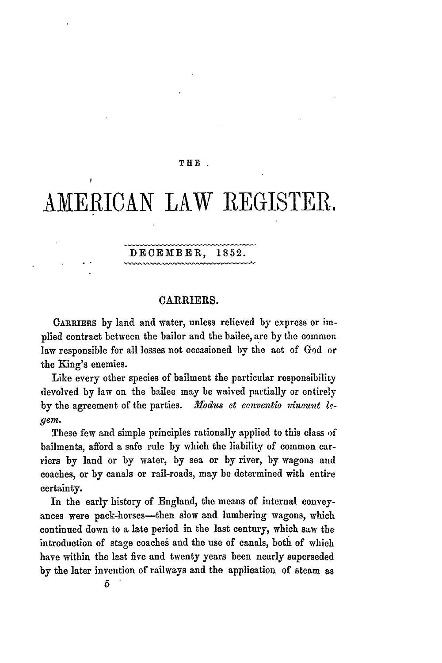### THE **.**

# **AMERICAN** LAW REGISTER,

## DECEMBER, **1852.**

## CARRIERS.

CARRIERs **by** land and water, unless relieved by express or implied contract between the bailor and the bailee, are by the common law responsible for all losses not occasioned **by** the act of **God** or the King's enemies.

Like every other species of bailment the particular responsibility devolved **by** law on the bailee may be waived partially or entirely by the agreement of the parties. Modus et conventio vincunt le*gem.*

These few and simple principles rationally applied to this class **of** bailments, afford a safe rule **by** which the liability of common carriers **by** land or **by** water, **by** sea or **by** river, **by** wagons and coaches, or **by** canals or rail-roads, may be determined with entire certainty.

In the early history of England, the means of internal conveyances were pack-horses-then slow and lumbering wagons, which continued down to a late period in the last century, which saw the introduction of stage coaches and the use of canals, both of which have within the last five and twenty years been nearly superseded **by** the later invention of railways and the application of steam as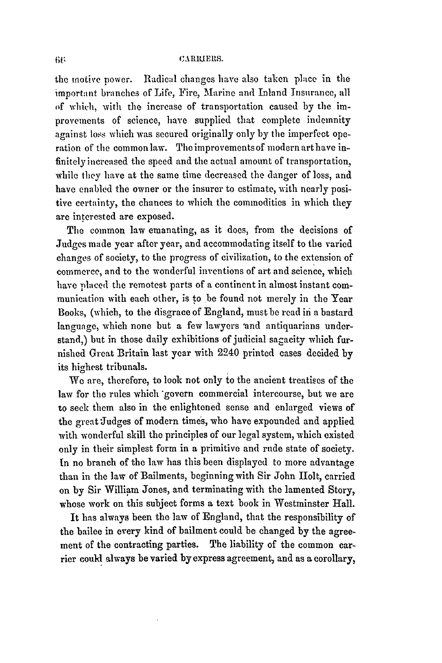#### **CARIMERS.**

the motive power. Radical changes have also taken place in the important branches of Life, Fire, Marine and Inland Insurance, all of which, with the increase of transportation caused by the improvements of science, have supplied that complete indemnity against loss which was secured originally only by the imperfect operation of the common law. The improvements of modern art have infinitely increased the speed and the actual amount of transportation, while they have at the same time decreased the danger of loss, and have enabled the owner or the insurer to estimate, with nearly positive certainty, the chances to which the commodities in which they are interested are exposed.

The common law emanating, as it does, from the decisions of Judges made year after year, and accommodating itself to the varied changes of society, to the progress of civilization, to the extension of commerce, and to the wonderful inventions of art and science, which have placed the remotest parts of a continent in almost instant communication with each other, is to be found not merely in the Year Books, (which, to the disgrace of England, must be read in a bastard language, which none but a few lawyers 'and antiquarians understand,) but in those daily exhibitions of judicial sagacity which furnished Great Britain last year with 2240 printed cases decided by its highest tribunals.

We are, therefore, to look not only to the ancient treatises of the law for the rules which govern commercial intercourse, but we are to seek them also in the enlightened sense and enlarged views of the great Judges of modern times, who have expounded and applied with wonderful skill the principles of our legal system, which existed only in their simplest form in a primitive and rude state of society. In no branch of the law has this been displayed to more advantage than in the law of Bailments, beginning with Sir John Holt, carried on by Sir William Jones, and terminating with the lamented Story, whose work on this subject forms a text book in Westminster Hall.

It has always been the law of England, that the responsibility of the bailee in every kind of bailment could be changed by the agreement of the contracting parties. The liability of the common carrier could always be varied by express agreement, and as a corollary,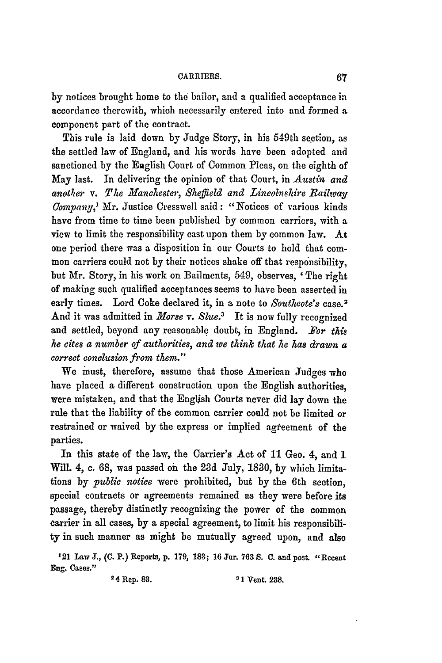**by** notices brought home to the bailor, and a qualified acceptance in accordance therewith, which necessarily entered into and formed **a** component part of the contract.

This rule is laid down by Judge Story, in his 549th section, as the settled law of England, and his words have been adopted and sanctioned **by** the English Court of Common Pleas, on the eighth of May last. In delivering the opinion of that Court, in *Austin and* another v. The Manchester, Sheffield and Lincolnshire Railway *Company,'* Mr. Justice Cresswell said: "Notices of various kinds have from time to time been published by common carriers, with a view to limit the responsibility cast upon them by common law. At one period there was a disposition in our Courts to hold that common carriers could not by their notices shake off that responsibility, but Mr. Story, in his work on Bailments, 549, observes, *'* The right of making such qualified acceptances seems to have been asserted in early times. Lord Coke declared it, in a note to *Southeote's* case. <sup>2</sup> And it was admitted in *Morse* v. *Slue.3* It is now fully recognized and settled, beyond any reasonable doubt, in England. Tor *this he eites a number of authorities, and we think that* he *has drawn a correct conclusion from them."*

We must, therefore, assume that those American Judges who have placed a different construction upon the English authorities, were mistaken, and that the English Courts never did lay down the rule that the liability of the common carrier could not be limited or restrained or waived by the express or implied agreement of the parties.

In this state of the law, the Carrier's Act of 11 Geo. 4, and 1 Will. *4,* c. 68, was passed on the **23d** July, 1830, by which limitations by *public notice* were prohibited, but by the 6th section, special contracts or agreements remained as they were before its passage, thereby distinctly recognizing the power of the common carrier in all cases, by a special agreement, to limit his responsibility in such manner as might be mutually agreed upon, and also

<sup>121</sup>Law **J., (C.** P.) Reports, **p.** 179, 183; 16 Jar. 763 **S. C.** and post. "Recent Eng. Cases."

**24 Rep. 83. 31 Vent. 238.**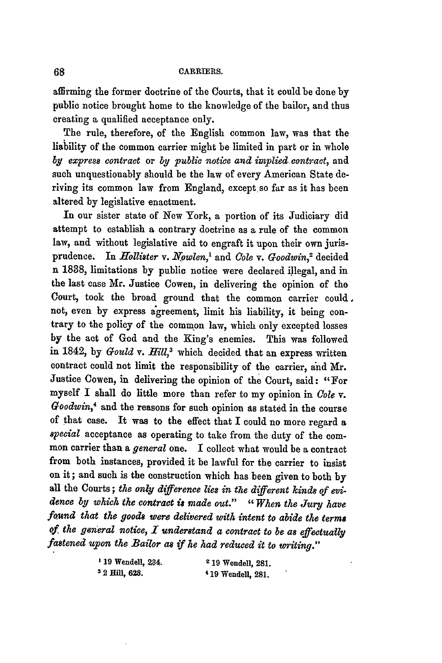### **CARRIERS.**

affirming the former doctrine of the Courts, that it could be done **by** public notice brought home to the knowledge of the bailor, and thus creating a qualified acceptance only.

The rule, therefore, of the English common law, was that the liability of the common carrier might be limited in part or in whole *by express contract* or *by public notice and impliec contract,* and such unquestionably should be the law of every American State deriving its common law from England, except so far as it has been altered by legislative enactment.

In our sister state of New York, a portion of its Judiciary did attempt to establish a contrary doctrine as a rule of the common law, and without legislative aid to engraft it upon their own jurisprudence. In *Hollister v. Nowlen*,<sup>1</sup> and *Cole v. Goodwin*,<sup>2</sup> decided n 1888, limitations by public notice were declared ilegal, and in the last case Mr. Justice Cowen, in delivering the opinion of the Court, took the broad ground that the common carrier could, not, even by express agreement, limit his liability, it being contrary to the policy of the common law, which only excepted losses by the act of God and the King's enemies. This was followed in 1842, by *Gould v. Hill*,<sup>3</sup> which decided that an express written contract could not limit the responsibility of the carrier, and Mr. Justice Cowen, in delivering the opinion of the Court, said: "For myself I shall do little more than refer to my opinion in *Cole v. Goodwin,4* and the reasons for such opinion as stated in the course of that case. It was to the effect that I could no more regard a *special* acceptance as operating to take from the duty of the common carrier than a *general* one. I collect what would be a contract from both instances, provided it be lawful for the carrier to insist on it; and such is the construction which has been given to both **by** all the Courts; *the only difference lies in the different kinds of evidence by which the contract* is *made out." "When the Jury have found that the goods were delivered with intent to abide the terms of the general notice, I understand a contract to be as effectually fastened upon the Bailor as if he had reduced it to writing."*

| <sup>1</sup> 19 Wendell, 234. | <sup>2</sup> 19 Wendell, 281, |  |
|-------------------------------|-------------------------------|--|
| <sup>3</sup> 2 Hill, 628.     | <sup>4</sup> 19 Wendell, 281. |  |

68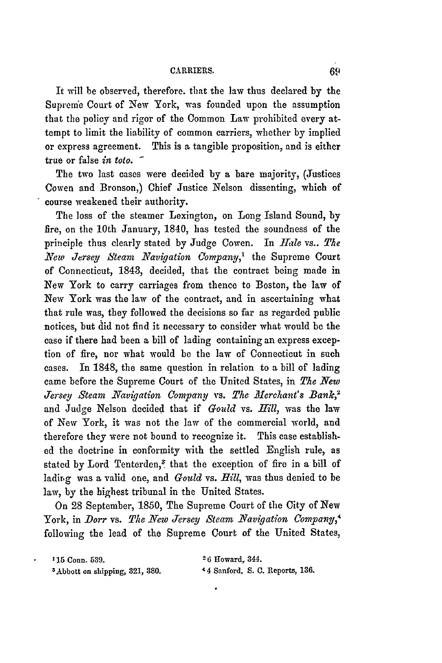It will be observed, therefore. that the law thus declared **by** the Supreme Court of New York, was founded upon the assumption that the policy and rigor of the Common Law prohibited every attempt to limit the liability of common carriers, whether by implied or express agreement. This is a tangible proposition, and is either true or false *in toto.*

The two last cases were decided by a bare majority, (Justices Cowen and Bronson,) Chief Justice Nelson dissenting, which of course weakened their authority.

The loss of the steamer Lexington, on Long Island Sound, by fire, on the 10th January, 1840, has tested the soundness of the principle thus clearly stated by Judge Cowen. In *Hale* vs.. The *New Jersey Steam Navigation Company*,<sup>1</sup> the Supreme Court of Connecticut, 1843, decided, that the contract being made in New York to carry carriages from thence to Boston, the law of New York was the law of the contract, and in ascertaining what that rule was, they followed the decisions so far as regarded public notices, but did not find it necessary to consider what would be the case if there had been a bill of lading containing an express exception of fire, nor what would be the law of Connecticut in such cases. In 1848, the same question in relation to a bill of lading came before the Supreme Court of the United States, in *The New Jersey Steam Navigation Company* vs. *The Merehant's Banc,2* and Judge Nelson decided that if *Could* vs. *Mfll,* was the law of New York, it was not the law of the commercial world, and therefore they were not bound to recognize it. This case established the doctrine in conformity with the settled English rule, as stated by Lord Tenterden, $^3$  that the exception of fire in a bill of lading was a valid one, and *Gould* vs. Hill, was thus denied to be law, by the highest tribunal in the United States.

On 28 September, 1850, The Supreme Court of the City of New York, in *Dorr* vs. *The New Jersey Steam Navigation Company,'* following the lead of the Supreme Court of the United States,

| <sup>1</sup> 15 Conn. 539.                 | $26$ Howard, 344.               |
|--------------------------------------------|---------------------------------|
| <sup>3</sup> Abbott on shipping, 321, 380. | 44 Sanford, S. C. Reports, 136. |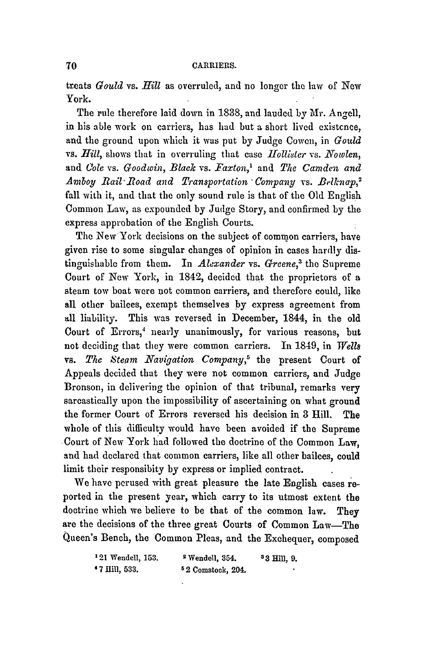treats *Gould* vs. *Hill* as overruled, and no longer the law of New York.

The rule therefore laid down in 1838, and lauded by Mr. Angell, in his able work on carriers, has had but a short lived existcnce, and the ground upon which it was put **by** Judge Cowen, in *Gould* vs. *Hill,* shows that in overruling that case *Hollieter* vs. *Noowlen,* and *Cole* vs. *Goodwin, Black* vs. *Faxton,'* and *The Camden and Amboy Rail Road and Transportation ' Company vs. Belknap,<sup>2</sup>* fall with it, and that the only sound rule is that of the Old English Common Law, as expounded by Judge Story, and confirmed by the express approbation of the English Courts.

The New York decisions on the subject of common carriers, have given rise to some singular changes of opinion in cases hardly distinguishable from them. In *Alexander* vs. *Greene,'* the Supreme Court of New York, in 1842, decided that the proprietors of a steam tow boat were not common carriers, and therefore could, like all other bailees, exempt themselves by express agreement from **all** liability. This was reversed in December, 1844, in the old Court of Errors,' nearly unanimously, for various reasons, but not deciding that they were common carriers. In 1849, in *Wells* vs. *The Steam Navigation Company,5* the present Court of Appeals decided that they were not common carriers, and Judge Bronson, in delivering the opinion of that tribunal, remarks very sarcastically upon the impossibility of ascertaining on what ground the former Court of Errors reversed his decision in 3 Hill. The whole of this difficulty would have been avoided if the Supreme Court of New York had followed the doctrine of the Common Law, and had declared that common carriers, like all other bailces, could limit their responsibity by express or implied contract.

We have perused with great pleasure the late English cases reported in the present year, which carry to its utmost extent the doctrine which we believe to be that of the common law. They are the decisions of the three great Courts of Common Law-The Queen's Bench, the Common Pleas, and the Exchequer, composed

| <sup>1</sup> 21 Wendell, 153. | <sup>2</sup> Wendell, 354. | $33$ Hill, 9, |
|-------------------------------|----------------------------|---------------|
| * 7 Hill, 533.                | $52$ Comstock, 204.        |               |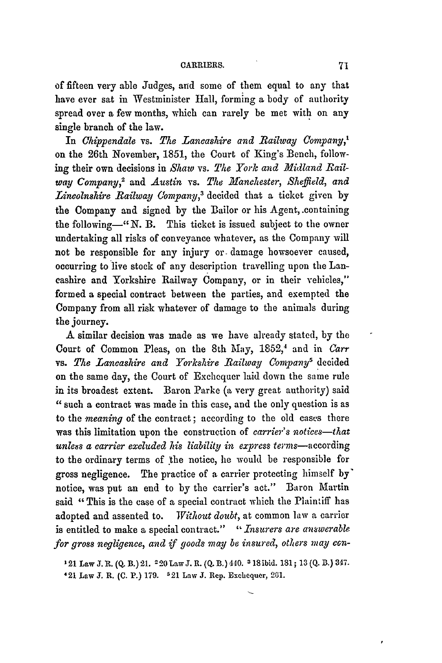of fifteen very able Judges, and some of them equal to any that have ever sat in Westminister Hall, forming a body of authority spread over a few months, which can rarely be met with on any single branch of the law.

In *Chippendale* vs. *The Lancashire and Railway Company,'* on the 26th November, 1851, the Court of King's Bench, following their own decisions in *Shaw* vs. *The York and Midland Railway Company,2* and *Austin* vs. *The Manchester, Sheffield, and* Lincolnshire Railway Company,<sup>3</sup> decided that a ticket given by the Company and signed **by** the Bailor or his Agent, .containing the following-" N. B. This ticket is issued subject to the owner undertaking all risks of conveyance whatever, as the Company will not be responsible for any injury or. damage howsoever caused, occurring to live stock of any description travelling upon the Lancashire and Yorkshire Railway Company, or in their vehicles," formed a special contract between the parties, and exempted the Company from all risk whatever of damage to the animals during the journey.

**A** similar decision was made as we have already stated, **by** the Court of Common Pleas, on the 8th May, 1852,' and in *Carr* vs. *The Lancashire and Yorkshire Railway Company'* decided on the same day, the Court of Exchequer laid down the same rule in its broadest extent. Baron Parke (a very great authority) said **"** such a contract was made in this case, and the only question is as to the *meaning* of the contract; according to the old cases there was this limitation upon the construction of *carrier's notices-that unless a carrier excluded* is *liability in express* terms-according to the ordinary terms of the notice, he would be responsible for gross negligence. The practice of a carrier protecting himself **by'** notice, was put an end to by the carrier's act." Baron Martin said "This is the case of a special contract which the Plaintiff has adopted and assented to. *Without doubt,* at common law a carrier is entitled to make a special contract." *"Insurers are answerable for gross negligence, and if goods may be insured, others may con-*

**121 Law** J.R. (Q. B.) 21. **220 Law** J. **R.** (Q. B.) 440. a **18ibid. 181; 13(Q.** B.) **347.** 421 **Law J.** R. **(C.** P.) **179. 521** Law **J. Rep. Exchequer, 20i1.**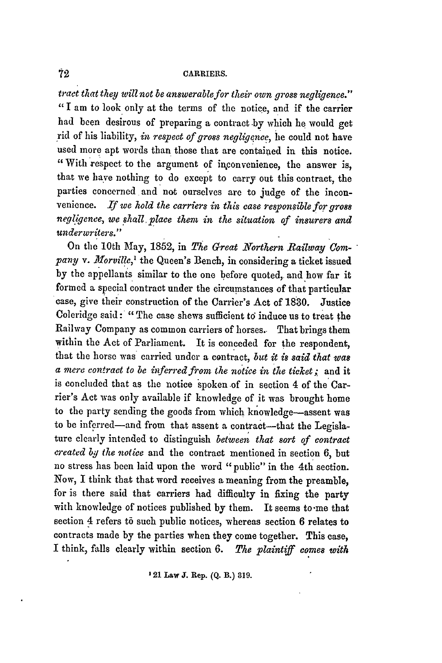## **CARRIERS.**

tract *that they will not be answerable for their own gross negligence."* "I am to look only at the terms of the notice, and if the carrier had been desirous of preparing a contract by which he would get rid of his liability, in respect of gross negligence, he could not have used more apt words than those that are contained in this notice. "With respect to the argument of inconvenience, the answer is, that we have nothing to do except to carry out this contract, the parties concerned and **not** ourselves are to judge of the inconvenience. *If we hold the carriers in this case responsible for gross negligence, we shall. place them in the situation of insurers and underwriters."*

On the 10th May, 1852, in *The Great Northern Railway Com*pany v. Morville,<sup>1</sup> the Queen's Bench, in considering a ticket issued by the appellants similar to the one before quoted, and how far it formed a special contract under the circumstances of that particular case, give their construction of the Carrier's Act of 1830. Justice Coleridge said: "The case shews sufficient to induce us to treat the Railway Company as common carriers of horses.- That brings them within the Act of Parliament. It is conceded for the respondent, that the horse was carried under a contract, *but it is said that was a mere contract to be inferred from the notice in the ticket;* and it is concluded that as the notice spoken of in section 4 of the Carrier's Act was only available if knowledge of it was brought home to the party sending the goods from which knowledge-assent was to be inferred-and from that assent a contract-that the Legislature clearly intended to distinguish *between that sort of contract created by the notice* and the contract mentioned in section 6, but no stress has been laid upon the word "public" in the 4th section. Now, I think that that word receives a meaning from the preamble, for is there said that carriers had difficulty in fixing the party with knowledge of notices published by them. It seems to-me that section 4 refers to such public notices, whereas section 6 relates to contracts made by the parties when they come together. This case, I think, falls clearly within section **6.** *The plaintiff comes with*

**121 Law** Y. **Rep. (Q. B.) 319.**